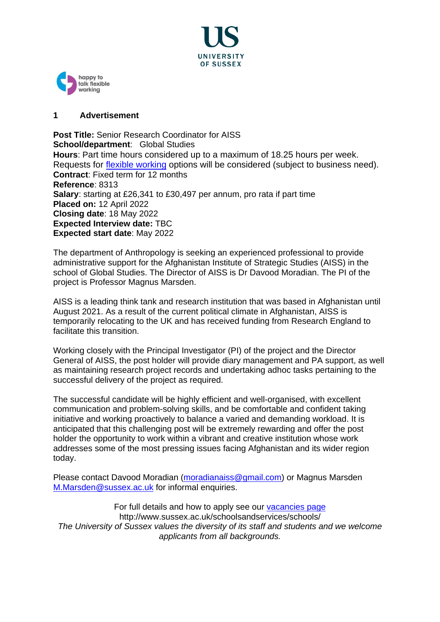



## **1 Advertisement**

**Post Title:** Senior Research Coordinator for AISS **School/department**: Global Studies **Hours**: Part time hours considered up to a maximum of 18.25 hours per week. Requests for [flexible working](https://www.sussex.ac.uk/humanresources/business-services/flexible-working) options will be considered (subject to business need). **Contract**: Fixed term for 12 months **Reference**: 8313 **Salary**: starting at £26,341 to £30,497 per annum, pro rata if part time **Placed on:** 12 April 2022 **Closing date**: 18 May 2022 **Expected Interview date:** TBC **Expected start date**: May 2022

The department of Anthropology is seeking an experienced professional to provide administrative support for the Afghanistan Institute of Strategic Studies (AISS) in the school of Global Studies. The Director of AISS is Dr Davood Moradian. The PI of the project is Professor Magnus Marsden.

AISS is a leading think tank and research institution that was based in Afghanistan until August 2021. As a result of the current political climate in Afghanistan, AISS is temporarily relocating to the UK and has received funding from Research England to facilitate this transition.

Working closely with the Principal Investigator (PI) of the project and the Director General of AISS, the post holder will provide diary management and PA support, as well as maintaining research project records and undertaking adhoc tasks pertaining to the successful delivery of the project as required.

The successful candidate will be highly efficient and well-organised, with excellent communication and problem-solving skills, and be comfortable and confident taking initiative and working proactively to balance a varied and demanding workload. It is anticipated that this challenging post will be extremely rewarding and offer the post holder the opportunity to work within a vibrant and creative institution whose work addresses some of the most pressing issues facing Afghanistan and its wider region today.

Please contact Davood Moradian [\(moradianaiss@gmail.com\)](mailto:moradianaiss@gmail.com) or Magnus Marsden [M.Marsden@sussex.ac.uk](mailto:M.Marsden@sussex.ac.uk) for informal enquiries.

For full details and how to apply see our [vacancies page](http://www.sussex.ac.uk/about/jobs) http://www.sussex.ac.uk/schoolsandservices/schools/ *The University of Sussex values the diversity of its staff and students and we welcome applicants from all backgrounds.*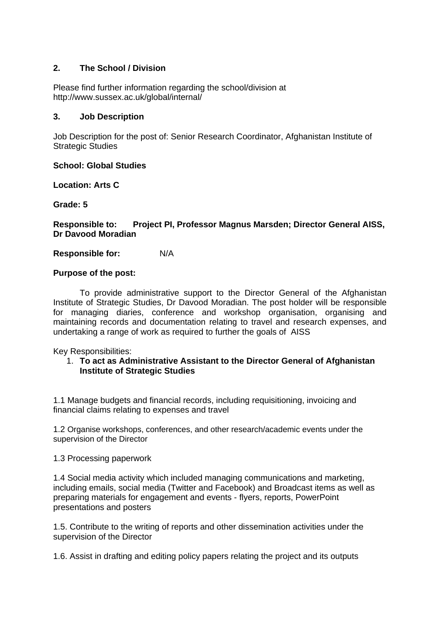# **2. The School / Division**

Please find further information regarding the school/division at http://www.sussex.ac.uk/global/internal/

## **3. Job Description**

Job Description for the post of: Senior Research Coordinator, Afghanistan Institute of Strategic Studies

**School: Global Studies**

**Location: Arts C**

**Grade: 5**

**Responsible to: Project PI, Professor Magnus Marsden; Director General AISS, Dr Davood Moradian**

**Responsible for:** N/A

## **Purpose of the post:**

To provide administrative support to the Director General of the Afghanistan Institute of Strategic Studies, Dr Davood Moradian. The post holder will be responsible for managing diaries, conference and workshop organisation, organising and maintaining records and documentation relating to travel and research expenses, and undertaking a range of work as required to further the goals of AISS

Key Responsibilities:

## 1. **To act as Administrative Assistant to the Director General of Afghanistan Institute of Strategic Studies**

1.1 Manage budgets and financial records, including requisitioning, invoicing and financial claims relating to expenses and travel

1.2 Organise workshops, conferences, and other research/academic events under the supervision of the Director

1.3 Processing paperwork

1.4 Social media activity which included managing communications and marketing, including emails, social media (Twitter and Facebook) and Broadcast items as well as preparing materials for engagement and events - flyers, reports, PowerPoint presentations and posters

1.5. Contribute to the writing of reports and other dissemination activities under the supervision of the Director

1.6. Assist in drafting and editing policy papers relating the project and its outputs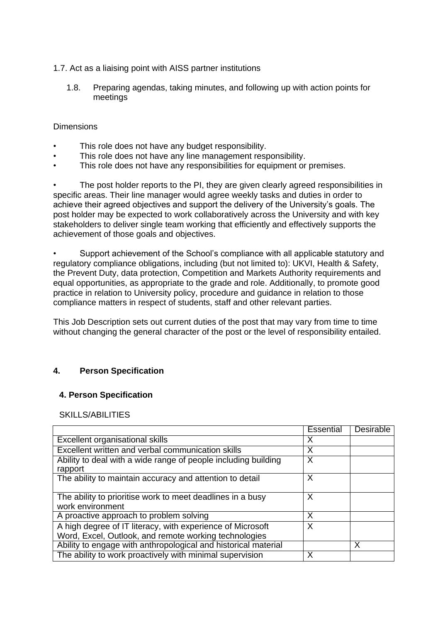## 1.7. Act as a liaising point with AISS partner institutions

1.8. Preparing agendas, taking minutes, and following up with action points for meetings

## **Dimensions**

- This role does not have any budget responsibility.
- This role does not have any line management responsibility.
- This role does not have any responsibilities for equipment or premises.

The post holder reports to the PI, they are given clearly agreed responsibilities in specific areas. Their line manager would agree weekly tasks and duties in order to achieve their agreed objectives and support the delivery of the University's goals. The post holder may be expected to work collaboratively across the University and with key stakeholders to deliver single team working that efficiently and effectively supports the achievement of those goals and objectives.

• Support achievement of the School's compliance with all applicable statutory and regulatory compliance obligations, including (but not limited to): UKVI, Health & Safety, the Prevent Duty, data protection, Competition and Markets Authority requirements and equal opportunities, as appropriate to the grade and role. Additionally, to promote good practice in relation to University policy, procedure and guidance in relation to those compliance matters in respect of students, staff and other relevant parties.

This Job Description sets out current duties of the post that may vary from time to time without changing the general character of the post or the level of responsibility entailed.

# **4. Person Specification**

## **4. Person Specification**

## SKILLS/ABILITIES

|                                                                                                                     | Essential | <b>Desirable</b> |
|---------------------------------------------------------------------------------------------------------------------|-----------|------------------|
| <b>Excellent organisational skills</b>                                                                              | X         |                  |
| Excellent written and verbal communication skills                                                                   | Х         |                  |
| Ability to deal with a wide range of people including building<br>rapport                                           | X         |                  |
| The ability to maintain accuracy and attention to detail                                                            | X         |                  |
| The ability to prioritise work to meet deadlines in a busy<br>work environment                                      | X         |                  |
| A proactive approach to problem solving                                                                             | X         |                  |
| A high degree of IT literacy, with experience of Microsoft<br>Word, Excel, Outlook, and remote working technologies | X         |                  |
| Ability to engage with anthropological and historical material                                                      |           | Χ                |
| The ability to work proactively with minimal supervision                                                            | Х         |                  |